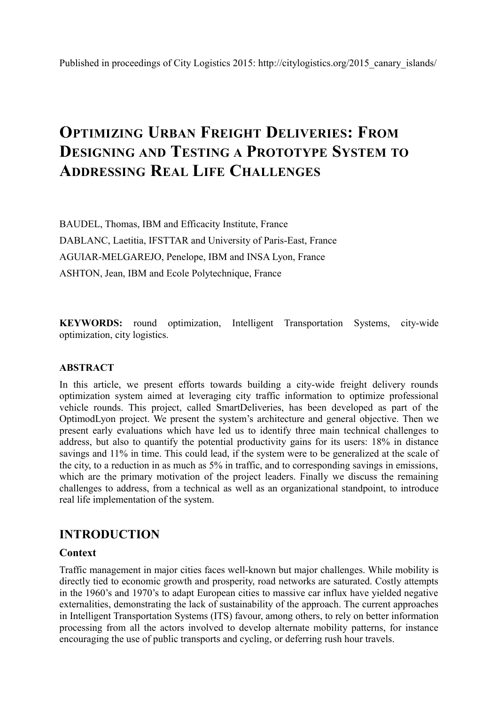# **OPTIMIZING URBAN FREIGHT DELIVERIES: FROM DESIGNING AND TESTING A PROTOTYPE SYSTEM TO ADDRESSING REAL LIFE CHALLENGES**

BAUDEL, Thomas, IBM and Efficacity Institute, France DABLANC, Laetitia, IFSTTAR and University of Paris-East, France AGUIAR-MELGAREJO, Penelope, IBM and INSA Lyon, France ASHTON, Jean, IBM and Ecole Polytechnique, France

**KEYWORDS:** round optimization, Intelligent Transportation Systems, city-wide optimization, city logistics.

#### **ABSTRACT**

In this article, we present efforts towards building a city-wide freight delivery rounds optimization system aimed at leveraging city traffic information to optimize professional vehicle rounds. This project, called SmartDeliveries, has been developed as part of the OptimodLyon project. We present the system's architecture and general objective. Then we present early evaluations which have led us to identify three main technical challenges to address, but also to quantify the potential productivity gains for its users: 18% in distance savings and 11% in time. This could lead, if the system were to be generalized at the scale of the city, to a reduction in as much as 5% in traffic, and to corresponding savings in emissions, which are the primary motivation of the project leaders. Finally we discuss the remaining challenges to address, from a technical as well as an organizational standpoint, to introduce real life implementation of the system.

#### **INTRODUCTION**

#### **Context**

Traffic management in major cities faces well-known but major challenges. While mobility is directly tied to economic growth and prosperity, road networks are saturated. Costly attempts in the 1960's and 1970's to adapt European cities to massive car influx have yielded negative externalities, demonstrating the lack of sustainability of the approach. The current approaches in Intelligent Transportation Systems (ITS) favour, among others, to rely on better information processing from all the actors involved to develop alternate mobility patterns, for instance encouraging the use of public transports and cycling, or deferring rush hour travels.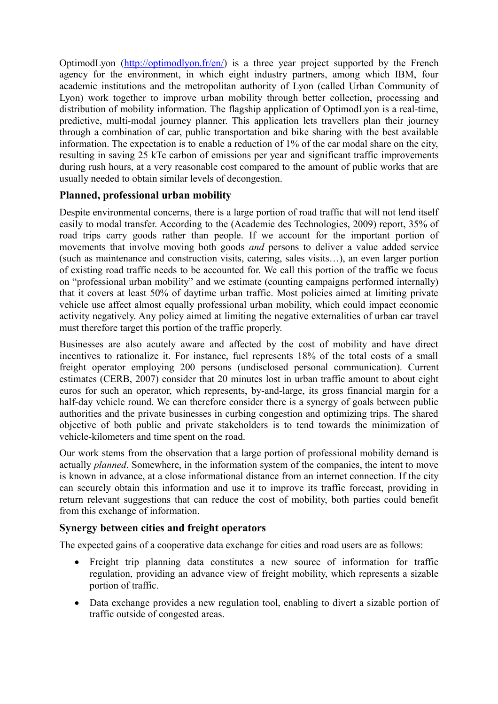OptimodLyon [\(http://optimodlyon.fr/en/\)](http://optimodlyon.fr/en/) is a three year project supported by the French agency for the environment, in which eight industry partners, among which IBM, four academic institutions and the metropolitan authority of Lyon (called Urban Community of Lyon) work together to improve urban mobility through better collection, processing and distribution of mobility information. The flagship application of OptimodLyon is a real-time, predictive, multi-modal journey planner. This application lets travellers plan their journey through a combination of car, public transportation and bike sharing with the best available information. The expectation is to enable a reduction of 1% of the car modal share on the city, resulting in saving 25 kTe carbon of emissions per year and significant traffic improvements during rush hours, at a very reasonable cost compared to the amount of public works that are usually needed to obtain similar levels of decongestion.

#### **Planned, professional urban mobility**

Despite environmental concerns, there is a large portion of road traffic that will not lend itself easily to modal transfer. According to the (Academie des Technologies, 2009) report, 35% of road trips carry goods rather than people. If we account for the important portion of movements that involve moving both goods *and* persons to deliver a value added service (such as maintenance and construction visits, catering, sales visits…), an even larger portion of existing road traffic needs to be accounted for. We call this portion of the traffic we focus on "professional urban mobility" and we estimate (counting campaigns performed internally) that it covers at least 50% of daytime urban traffic. Most policies aimed at limiting private vehicle use affect almost equally professional urban mobility, which could impact economic activity negatively. Any policy aimed at limiting the negative externalities of urban car travel must therefore target this portion of the traffic properly.

Businesses are also acutely aware and affected by the cost of mobility and have direct incentives to rationalize it. For instance, fuel represents 18% of the total costs of a small freight operator employing 200 persons (undisclosed personal communication). Current estimates (CERB, 2007) consider that 20 minutes lost in urban traffic amount to about eight euros for such an operator, which represents, by-and-large, its gross financial margin for a half-day vehicle round. We can therefore consider there is a synergy of goals between public authorities and the private businesses in curbing congestion and optimizing trips. The shared objective of both public and private stakeholders is to tend towards the minimization of vehicle-kilometers and time spent on the road.

Our work stems from the observation that a large portion of professional mobility demand is actually *planned*. Somewhere, in the information system of the companies, the intent to move is known in advance, at a close informational distance from an internet connection. If the city can securely obtain this information and use it to improve its traffic forecast, providing in return relevant suggestions that can reduce the cost of mobility, both parties could benefit from this exchange of information.

#### **Synergy between cities and freight operators**

The expected gains of a cooperative data exchange for cities and road users are as follows:

- Freight trip planning data constitutes a new source of information for traffic regulation, providing an advance view of freight mobility, which represents a sizable portion of traffic.
- Data exchange provides a new regulation tool, enabling to divert a sizable portion of traffic outside of congested areas.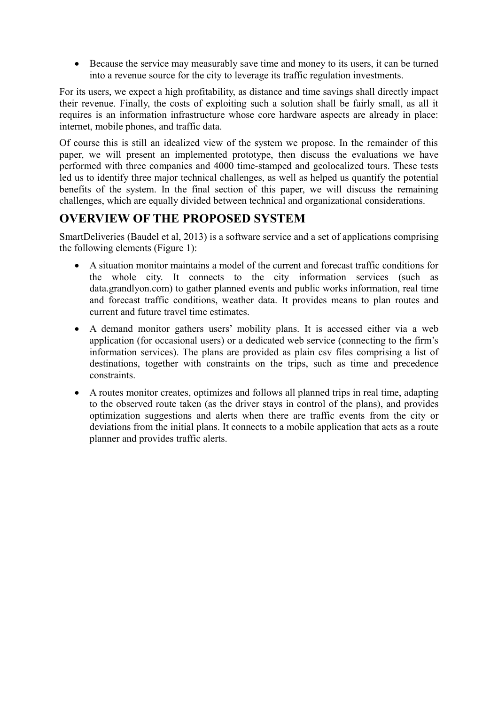Because the service may measurably save time and money to its users, it can be turned into a revenue source for the city to leverage its traffic regulation investments.

For its users, we expect a high profitability, as distance and time savings shall directly impact their revenue. Finally, the costs of exploiting such a solution shall be fairly small, as all it requires is an information infrastructure whose core hardware aspects are already in place: internet, mobile phones, and traffic data.

Of course this is still an idealized view of the system we propose. In the remainder of this paper, we will present an implemented prototype, then discuss the evaluations we have performed with three companies and 4000 time-stamped and geolocalized tours. These tests led us to identify three major technical challenges, as well as helped us quantify the potential benefits of the system. In the final section of this paper, we will discuss the remaining challenges, which are equally divided between technical and organizational considerations.

### **OVERVIEW OF THE PROPOSED SYSTEM**

SmartDeliveries (Baudel et al, 2013) is a software service and a set of applications comprising the following elements (Figure 1):

- A situation monitor maintains a model of the current and forecast traffic conditions for the whole city. It connects to the city information services (such as data.grandlyon.com) to gather planned events and public works information, real time and forecast traffic conditions, weather data. It provides means to plan routes and current and future travel time estimates.
- A demand monitor gathers users' mobility plans. It is accessed either via a web application (for occasional users) or a dedicated web service (connecting to the firm's information services). The plans are provided as plain csv files comprising a list of destinations, together with constraints on the trips, such as time and precedence constraints.
- A routes monitor creates, optimizes and follows all planned trips in real time, adapting to the observed route taken (as the driver stays in control of the plans), and provides optimization suggestions and alerts when there are traffic events from the city or deviations from the initial plans. It connects to a mobile application that acts as a route planner and provides traffic alerts.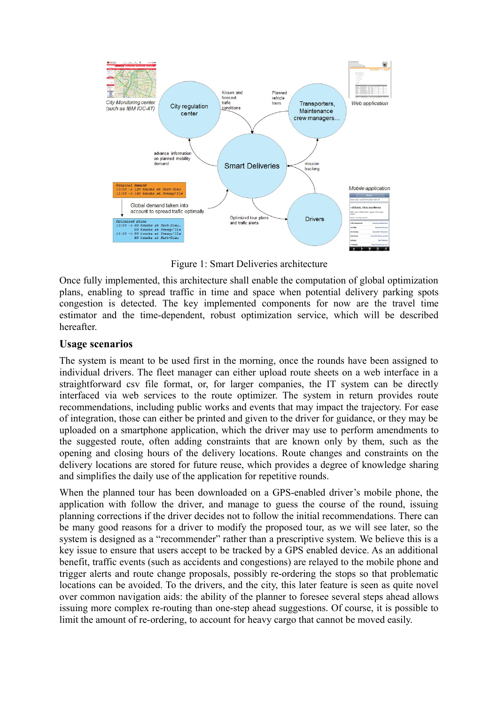

Figure 1: Smart Deliveries architecture

Once fully implemented, this architecture shall enable the computation of global optimization plans, enabling to spread traffic in time and space when potential delivery parking spots congestion is detected. The key implemented components for now are the travel time estimator and the time-dependent, robust optimization service, which will be described hereafter.

#### **Usage scenarios**

The system is meant to be used first in the morning, once the rounds have been assigned to individual drivers. The fleet manager can either upload route sheets on a web interface in a straightforward csv file format, or, for larger companies, the IT system can be directly interfaced via web services to the route optimizer. The system in return provides route recommendations, including public works and events that may impact the trajectory. For ease of integration, those can either be printed and given to the driver for guidance, or they may be uploaded on a smartphone application, which the driver may use to perform amendments to the suggested route, often adding constraints that are known only by them, such as the opening and closing hours of the delivery locations. Route changes and constraints on the delivery locations are stored for future reuse, which provides a degree of knowledge sharing and simplifies the daily use of the application for repetitive rounds.

When the planned tour has been downloaded on a GPS-enabled driver's mobile phone, the application with follow the driver, and manage to guess the course of the round, issuing planning corrections if the driver decides not to follow the initial recommendations. There can be many good reasons for a driver to modify the proposed tour, as we will see later, so the system is designed as a "recommender" rather than a prescriptive system. We believe this is a key issue to ensure that users accept to be tracked by a GPS enabled device. As an additional benefit, traffic events (such as accidents and congestions) are relayed to the mobile phone and trigger alerts and route change proposals, possibly re-ordering the stops so that problematic locations can be avoided. To the drivers, and the city, this later feature is seen as quite novel over common navigation aids: the ability of the planner to foresee several steps ahead allows issuing more complex re-routing than one-step ahead suggestions. Of course, it is possible to limit the amount of re-ordering, to account for heavy cargo that cannot be moved easily.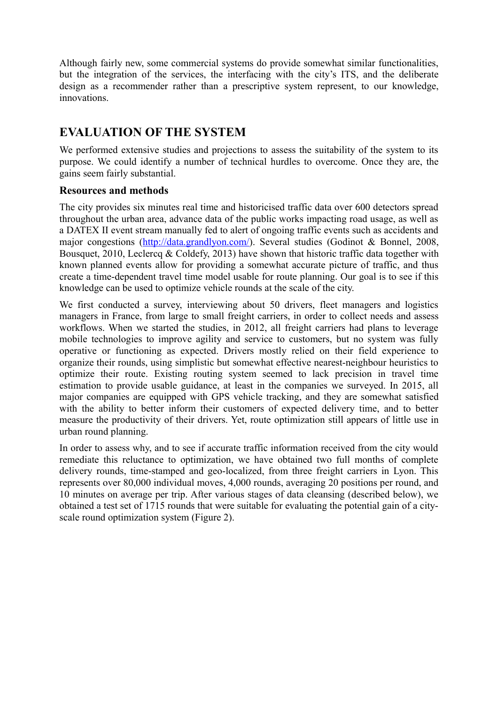Although fairly new, some commercial systems do provide somewhat similar functionalities, but the integration of the services, the interfacing with the city's ITS, and the deliberate design as a recommender rather than a prescriptive system represent, to our knowledge, innovations.

## **EVALUATION OF THE SYSTEM**

We performed extensive studies and projections to assess the suitability of the system to its purpose. We could identify a number of technical hurdles to overcome. Once they are, the gains seem fairly substantial.

#### **Resources and methods**

The city provides six minutes real time and historicised traffic data over 600 detectors spread throughout the urban area, advance data of the public works impacting road usage, as well as a DATEX II event stream manually fed to alert of ongoing traffic events such as accidents and major congestions [\(http://data.grandlyon.com/\)](http://data.grandlyon.com/). Several studies (Godinot & Bonnel, 2008, Bousquet, 2010, Leclercq & Coldefy, 2013) have shown that historic traffic data together with known planned events allow for providing a somewhat accurate picture of traffic, and thus create a time-dependent travel time model usable for route planning. Our goal is to see if this knowledge can be used to optimize vehicle rounds at the scale of the city.

We first conducted a survey, interviewing about 50 drivers, fleet managers and logistics managers in France, from large to small freight carriers, in order to collect needs and assess workflows. When we started the studies, in 2012, all freight carriers had plans to leverage mobile technologies to improve agility and service to customers, but no system was fully operative or functioning as expected. Drivers mostly relied on their field experience to organize their rounds, using simplistic but somewhat effective nearest-neighbour heuristics to optimize their route. Existing routing system seemed to lack precision in travel time estimation to provide usable guidance, at least in the companies we surveyed. In 2015, all major companies are equipped with GPS vehicle tracking, and they are somewhat satisfied with the ability to better inform their customers of expected delivery time, and to better measure the productivity of their drivers. Yet, route optimization still appears of little use in urban round planning.

In order to assess why, and to see if accurate traffic information received from the city would remediate this reluctance to optimization, we have obtained two full months of complete delivery rounds, time-stamped and geo-localized, from three freight carriers in Lyon. This represents over 80,000 individual moves, 4,000 rounds, averaging 20 positions per round, and 10 minutes on average per trip. After various stages of data cleansing (described below), we obtained a test set of 1715 rounds that were suitable for evaluating the potential gain of a cityscale round optimization system (Figure 2).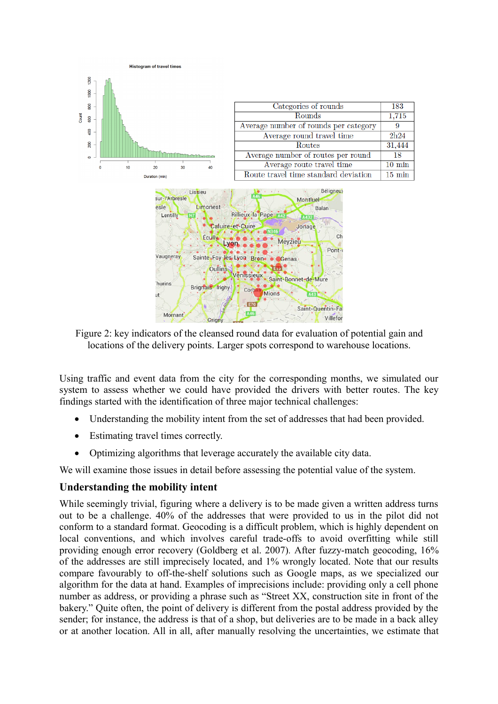

Figure 2: key indicators of the cleansed round data for evaluation of potential gain and locations of the delivery points. Larger spots correspond to warehouse locations.

Using traffic and event data from the city for the corresponding months, we simulated our system to assess whether we could have provided the drivers with better routes. The key findings started with the identification of three major technical challenges:

- Understanding the mobility intent from the set of addresses that had been provided.
- Estimating travel times correctly.
- Optimizing algorithms that leverage accurately the available city data.

We will examine those issues in detail before assessing the potential value of the system.

#### **Understanding the mobility intent**

While seemingly trivial, figuring where a delivery is to be made given a written address turns out to be a challenge. 40% of the addresses that were provided to us in the pilot did not conform to a standard format. Geocoding is a difficult problem, which is highly dependent on local conventions, and which involves careful trade-offs to avoid overfitting while still providing enough error recovery (Goldberg et al. 2007)*.* After fuzzy-match geocoding, 16% of the addresses are still imprecisely located, and 1% wrongly located. Note that our results compare favourably to off-the-shelf solutions such as Google maps, as we specialized our algorithm for the data at hand. Examples of imprecisions include: providing only a cell phone number as address, or providing a phrase such as "Street XX, construction site in front of the bakery." Quite often, the point of delivery is different from the postal address provided by the sender; for instance, the address is that of a shop, but deliveries are to be made in a back alley or at another location. All in all, after manually resolving the uncertainties, we estimate that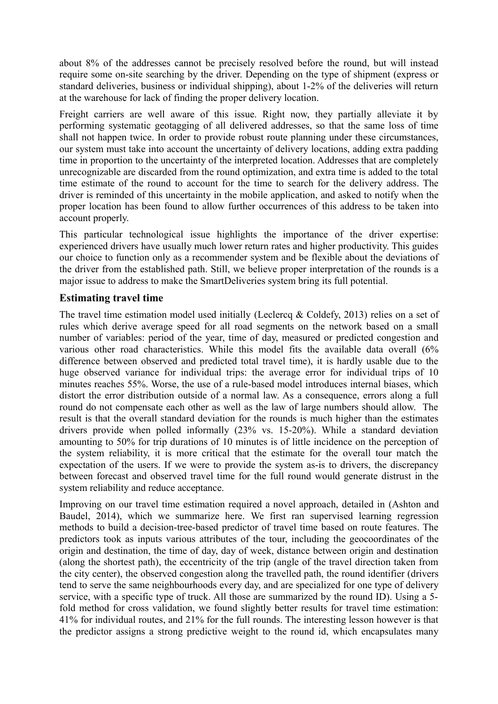about 8% of the addresses cannot be precisely resolved before the round, but will instead require some on-site searching by the driver. Depending on the type of shipment (express or standard deliveries, business or individual shipping), about 1-2% of the deliveries will return at the warehouse for lack of finding the proper delivery location.

Freight carriers are well aware of this issue. Right now, they partially alleviate it by performing systematic geotagging of all delivered addresses, so that the same loss of time shall not happen twice. In order to provide robust route planning under these circumstances, our system must take into account the uncertainty of delivery locations, adding extra padding time in proportion to the uncertainty of the interpreted location. Addresses that are completely unrecognizable are discarded from the round optimization, and extra time is added to the total time estimate of the round to account for the time to search for the delivery address. The driver is reminded of this uncertainty in the mobile application, and asked to notify when the proper location has been found to allow further occurrences of this address to be taken into account properly.

This particular technological issue highlights the importance of the driver expertise: experienced drivers have usually much lower return rates and higher productivity. This guides our choice to function only as a recommender system and be flexible about the deviations of the driver from the established path. Still, we believe proper interpretation of the rounds is a major issue to address to make the SmartDeliveries system bring its full potential.

#### **Estimating travel time**

The travel time estimation model used initially (Leclercq & Coldefy, 2013) relies on a set of rules which derive average speed for all road segments on the network based on a small number of variables: period of the year, time of day, measured or predicted congestion and various other road characteristics. While this model fits the available data overall (6% difference between observed and predicted total travel time), it is hardly usable due to the huge observed variance for individual trips: the average error for individual trips of 10 minutes reaches 55%. Worse, the use of a rule-based model introduces internal biases, which distort the error distribution outside of a normal law. As a consequence, errors along a full round do not compensate each other as well as the law of large numbers should allow. The result is that the overall standard deviation for the rounds is much higher than the estimates drivers provide when polled informally (23% vs. 15-20%). While a standard deviation amounting to 50% for trip durations of 10 minutes is of little incidence on the perception of the system reliability, it is more critical that the estimate for the overall tour match the expectation of the users. If we were to provide the system as-is to drivers, the discrepancy between forecast and observed travel time for the full round would generate distrust in the system reliability and reduce acceptance.

Improving on our travel time estimation required a novel approach, detailed in (Ashton and Baudel, 2014), which we summarize here. We first ran supervised learning regression methods to build a decision-tree-based predictor of travel time based on route features. The predictors took as inputs various attributes of the tour, including the geocoordinates of the origin and destination, the time of day, day of week, distance between origin and destination (along the shortest path), the eccentricity of the trip (angle of the travel direction taken from the city center), the observed congestion along the travelled path, the round identifier (drivers tend to serve the same neighbourhoods every day, and are specialized for one type of delivery service, with a specific type of truck. All those are summarized by the round ID). Using a 5 fold method for cross validation, we found slightly better results for travel time estimation: 41% for individual routes, and 21% for the full rounds. The interesting lesson however is that the predictor assigns a strong predictive weight to the round id, which encapsulates many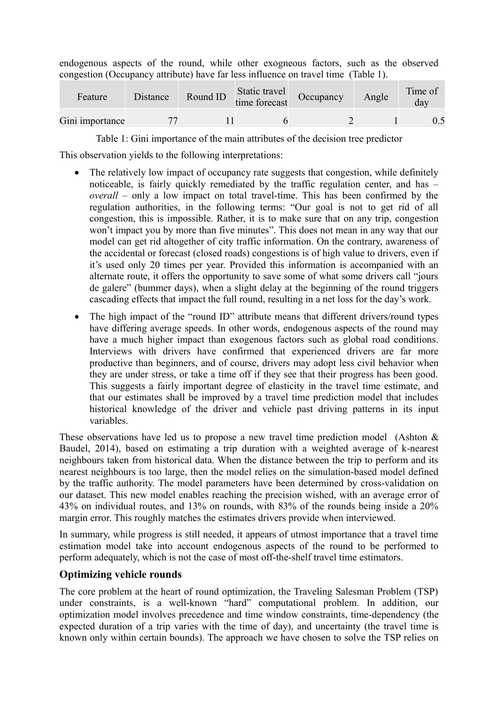endogenous aspects of the round, while other exogneous factors, such as the observed congestion (Occupancy attribute) have far less influence on travel time (Table 1).

| Feature         | Distance |  | Round ID Static travel<br>time forecast Occupancy | Angle | Time of<br>day |
|-----------------|----------|--|---------------------------------------------------|-------|----------------|
| Gini importance |          |  |                                                   |       |                |

Table 1: Gini importance of the main attributes of the decision tree predictor

This observation yields to the following interpretations:

- The relatively low impact of occupancy rate suggests that congestion, while definitely noticeable, is fairly quickly remediated by the traffic regulation center, and has – *overall –* only a low impact on total travel-time. This has been confirmed by the regulation authorities, in the following terms: "Our goal is not to get rid of all congestion, this is impossible. Rather, it is to make sure that on any trip, congestion won't impact you by more than five minutes". This does not mean in any way that our model can get rid altogether of city traffic information. On the contrary, awareness of the accidental or forecast (closed roads) congestions is of high value to drivers, even if it's used only 20 times per year. Provided this information is accompanied with an alternate route, it offers the opportunity to save some of what some drivers call "jours de galere" (bummer days), when a slight delay at the beginning of the round triggers cascading effects that impact the full round, resulting in a net loss for the day's work.
- The high impact of the "round ID" attribute means that different drivers/round types have differing average speeds. In other words, endogenous aspects of the round may have a much higher impact than exogenous factors such as global road conditions. Interviews with drivers have confirmed that experienced drivers are far more productive than beginners, and of course, drivers may adopt less civil behavior when they are under stress, or take a time off if they see that their progress has been good. This suggests a fairly important degree of elasticity in the travel time estimate, and that our estimates shall be improved by a travel time prediction model that includes historical knowledge of the driver and vehicle past driving patterns in its input variables.

These observations have led us to propose a new travel time prediction model (Ashton  $\&$ Baudel, 2014), based on estimating a trip duration with a weighted average of k-nearest neighbours taken from historical data. When the distance between the trip to perform and its nearest neighbours is too large, then the model relies on the simulation-based model defined by the traffic authority. The model parameters have been determined by cross-validation on our dataset. This new model enables reaching the precision wished, with an average error of 43% on individual routes, and 13% on rounds, with 83% of the rounds being inside a 20% margin error. This roughly matches the estimates drivers provide when interviewed.

In summary, while progress is still needed, it appears of utmost importance that a travel time estimation model take into account endogenous aspects of the round to be performed to perform adequately, which is not the case of most off-the-shelf travel time estimators.

#### **Optimizing vehicle rounds**

The core problem at the heart of round optimization, the Traveling Salesman Problem (TSP) under constraints, is a well-known "hard" computational problem. In addition, our optimization model involves precedence and time window constraints, time-dependency (the expected duration of a trip varies with the time of day), and uncertainty (the travel time is known only within certain bounds). The approach we have chosen to solve the TSP relies on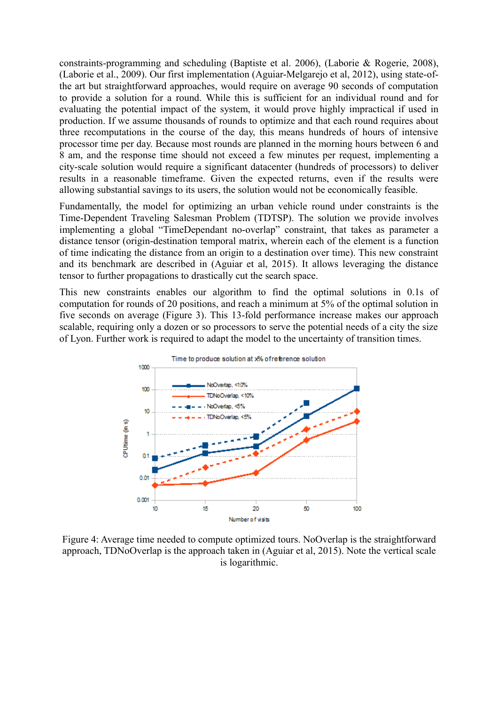constraints-programming and scheduling (Baptiste et al. 2006), (Laborie & Rogerie, 2008), (Laborie et al., 2009). Our first implementation (Aguiar-Melgarejo et al, 2012), using state-ofthe art but straightforward approaches, would require on average 90 seconds of computation to provide a solution for a round. While this is sufficient for an individual round and for evaluating the potential impact of the system, it would prove highly impractical if used in production. If we assume thousands of rounds to optimize and that each round requires about three recomputations in the course of the day, this means hundreds of hours of intensive processor time per day. Because most rounds are planned in the morning hours between 6 and 8 am, and the response time should not exceed a few minutes per request, implementing a city-scale solution would require a significant datacenter (hundreds of processors) to deliver results in a reasonable timeframe. Given the expected returns, even if the results were allowing substantial savings to its users, the solution would not be economically feasible.

Fundamentally, the model for optimizing an urban vehicle round under constraints is the Time-Dependent Traveling Salesman Problem (TDTSP). The solution we provide involves implementing a global "TimeDependant no-overlap" constraint, that takes as parameter a distance tensor (origin-destination temporal matrix, wherein each of the element is a function of time indicating the distance from an origin to a destination over time). This new constraint and its benchmark are described in (Aguiar et al, 2015). It allows leveraging the distance tensor to further propagations to drastically cut the search space.

This new constraints enables our algorithm to find the optimal solutions in 0.1s of computation for rounds of 20 positions, and reach a minimum at 5% of the optimal solution in five seconds on average (Figure 3). This 13-fold performance increase makes our approach scalable, requiring only a dozen or so processors to serve the potential needs of a city the size of Lyon. Further work is required to adapt the model to the uncertainty of transition times.



Figure 4: Average time needed to compute optimized tours. NoOverlap is the straightforward approach, TDNoOverlap is the approach taken in (Aguiar et al, 2015). Note the vertical scale is logarithmic.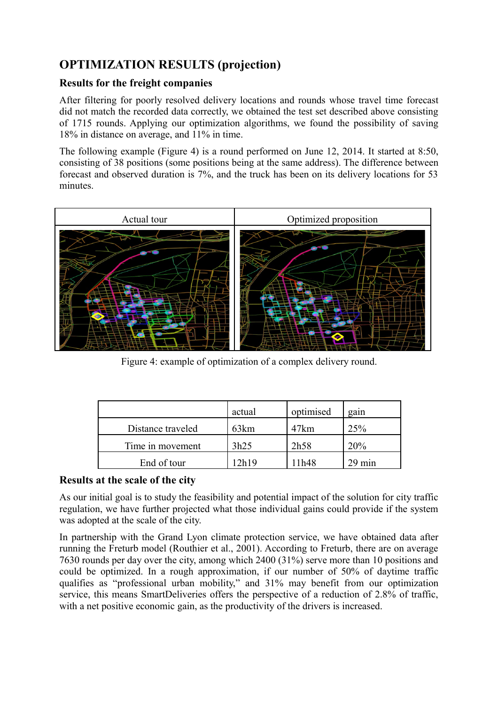## **OPTIMIZATION RESULTS (projection)**

#### **Results for the freight companies**

After filtering for poorly resolved delivery locations and rounds whose travel time forecast did not match the recorded data correctly, we obtained the test set described above consisting of 1715 rounds. Applying our optimization algorithms, we found the possibility of saving 18% in distance on average, and 11% in time.

The following example (Figure 4) is a round performed on June 12, 2014. It started at 8:50, consisting of 38 positions (some positions being at the same address). The difference between forecast and observed duration is 7%, and the truck has been on its delivery locations for 53 minutes.



Figure 4: example of optimization of a complex delivery round.

|                   | actual | optimised | gain             |
|-------------------|--------|-----------|------------------|
| Distance traveled | 63km   | 47km      | 25%              |
| Time in movement  | 3h25   | 2h58      | 20%              |
| End of tour       | 2h19   | 11h48     | $29 \text{ min}$ |

#### **Results at the scale of the city**

As our initial goal is to study the feasibility and potential impact of the solution for city traffic regulation, we have further projected what those individual gains could provide if the system was adopted at the scale of the city.

In partnership with the Grand Lyon climate protection service, we have obtained data after running the Freturb model (Routhier et al., 2001). According to Freturb, there are on average 7630 rounds per day over the city, among which 2400 (31%) serve more than 10 positions and could be optimized. In a rough approximation, if our number of 50% of daytime traffic qualifies as "professional urban mobility," and 31% may benefit from our optimization service, this means SmartDeliveries offers the perspective of a reduction of 2.8% of traffic, with a net positive economic gain, as the productivity of the drivers is increased.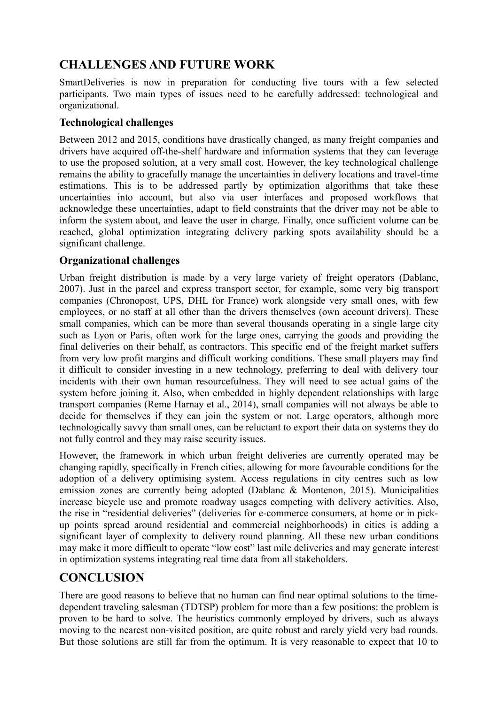## **CHALLENGES AND FUTURE WORK**

SmartDeliveries is now in preparation for conducting live tours with a few selected participants. Two main types of issues need to be carefully addressed: technological and organizational.

#### **Technological challenges**

Between 2012 and 2015, conditions have drastically changed, as many freight companies and drivers have acquired off-the-shelf hardware and information systems that they can leverage to use the proposed solution, at a very small cost. However, the key technological challenge remains the ability to gracefully manage the uncertainties in delivery locations and travel-time estimations. This is to be addressed partly by optimization algorithms that take these uncertainties into account, but also via user interfaces and proposed workflows that acknowledge these uncertainties, adapt to field constraints that the driver may not be able to inform the system about, and leave the user in charge. Finally, once sufficient volume can be reached, global optimization integrating delivery parking spots availability should be a significant challenge.

#### **Organizational challenges**

Urban freight distribution is made by a very large variety of freight operators (Dablanc, 2007). Just in the parcel and express transport sector, for example, some very big transport companies (Chronopost, UPS, DHL for France) work alongside very small ones, with few employees, or no staff at all other than the drivers themselves (own account drivers). These small companies, which can be more than several thousands operating in a single large city such as Lyon or Paris, often work for the large ones, carrying the goods and providing the final deliveries on their behalf, as contractors. This specific end of the freight market suffers from very low profit margins and difficult working conditions. These small players may find it difficult to consider investing in a new technology, preferring to deal with delivery tour incidents with their own human resourcefulness. They will need to see actual gains of the system before joining it. Also, when embedded in highly dependent relationships with large transport companies (Reme Harnay et al., 2014), small companies will not always be able to decide for themselves if they can join the system or not. Large operators, although more technologically savvy than small ones, can be reluctant to export their data on systems they do not fully control and they may raise security issues.

However, the framework in which urban freight deliveries are currently operated may be changing rapidly, specifically in French cities, allowing for more favourable conditions for the adoption of a delivery optimising system. Access regulations in city centres such as low emission zones are currently being adopted (Dablanc & Montenon, 2015). Municipalities increase bicycle use and promote roadway usages competing with delivery activities. Also, the rise in "residential deliveries" (deliveries for e-commerce consumers, at home or in pickup points spread around residential and commercial neighborhoods) in cities is adding a significant layer of complexity to delivery round planning. All these new urban conditions may make it more difficult to operate "low cost" last mile deliveries and may generate interest in optimization systems integrating real time data from all stakeholders.

## **CONCLUSION**

There are good reasons to believe that no human can find near optimal solutions to the timedependent traveling salesman (TDTSP) problem for more than a few positions: the problem is proven to be hard to solve. The heuristics commonly employed by drivers, such as always moving to the nearest non-visited position, are quite robust and rarely yield very bad rounds. But those solutions are still far from the optimum. It is very reasonable to expect that 10 to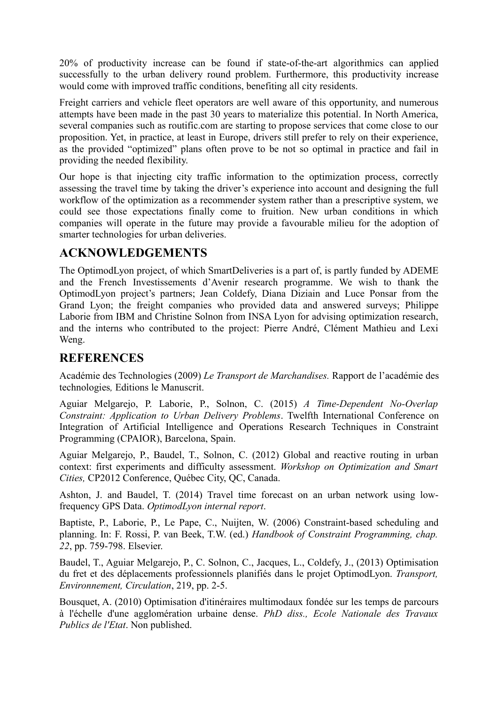20% of productivity increase can be found if state-of-the-art algorithmics can applied successfully to the urban delivery round problem. Furthermore, this productivity increase would come with improved traffic conditions, benefiting all city residents.

Freight carriers and vehicle fleet operators are well aware of this opportunity, and numerous attempts have been made in the past 30 years to materialize this potential. In North America, several companies such as routific.com are starting to propose services that come close to our proposition. Yet, in practice, at least in Europe, drivers still prefer to rely on their experience, as the provided "optimized" plans often prove to be not so optimal in practice and fail in providing the needed flexibility.

Our hope is that injecting city traffic information to the optimization process, correctly assessing the travel time by taking the driver's experience into account and designing the full workflow of the optimization as a recommender system rather than a prescriptive system, we could see those expectations finally come to fruition. New urban conditions in which companies will operate in the future may provide a favourable milieu for the adoption of smarter technologies for urban deliveries.

### **ACKNOWLEDGEMENTS**

The OptimodLyon project, of which SmartDeliveries is a part of, is partly funded by ADEME and the French Investissements d'Avenir research programme. We wish to thank the OptimodLyon project's partners; Jean Coldefy, Diana Diziain and Luce Ponsar from the Grand Lyon; the freight companies who provided data and answered surveys; Philippe Laborie from IBM and Christine Solnon from INSA Lyon for advising optimization research, and the interns who contributed to the project: Pierre André, Clément Mathieu and Lexi Weng.

## **REFERENCES**

Académie des Technologies (2009) *Le Transport de Marchandises.* Rapport de l'académie des technologies*,* Editions le Manuscrit.

Aguiar Melgarejo, P. Laborie, P., Solnon, C. (2015) *A Time-Dependent No-Overlap Constraint: Application to Urban Delivery Problems*. Twelfth International Conference on Integration of Artificial Intelligence and Operations Research Techniques in Constraint Programming (CPAIOR), Barcelona, Spain.

Aguiar Melgarejo, P., Baudel, T., Solnon, C. (2012) Global and reactive routing in urban context: first experiments and difficulty assessment. *Workshop on Optimization and Smart Cities,* CP2012 Conference, Québec City, QC, Canada.

Ashton, J. and Baudel, T. (2014) Travel time forecast on an urban network using lowfrequency GPS Data. *OptimodLyon internal report*.

Baptiste, P., Laborie, P., Le Pape, C., Nuijten, W. (2006) Constraint-based scheduling and planning. In: F. Rossi, P. van Beek, T.W. (ed.) *Handbook of Constraint Programming, chap. 22*, pp. 759-798. Elsevier.

Baudel, T., Aguiar Melgarejo, P., C. Solnon, C., Jacques, L., Coldefy, J., (2013) Optimisation du fret et des déplacements professionnels planifiés dans le projet OptimodLyon. *Transport, Environnement, Circulation*, 219, pp. 2-5.

Bousquet, A. (2010) Optimisation d'itinéraires multimodaux fondée sur les temps de parcours à l'échelle d'une agglomération urbaine dense. *PhD diss., Ecole Nationale des Travaux Publics de l'Etat*. Non published.